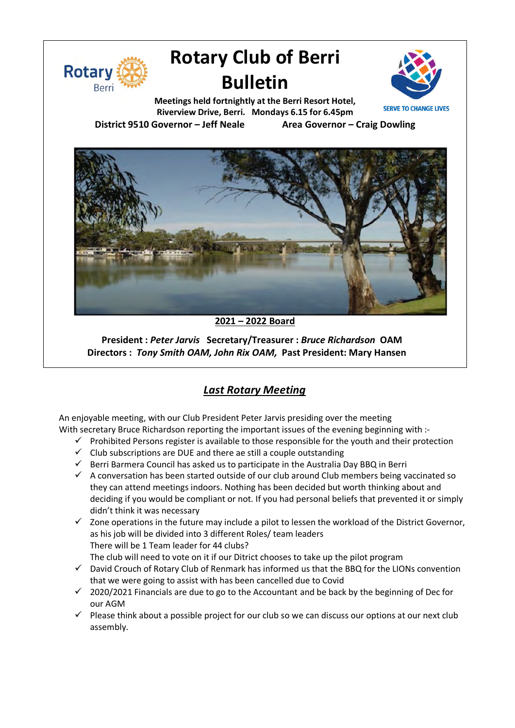

# **Rotary Club of Berri Bulletin**



**Meetings held fortnightly at the Berri Resort Hotel, Riverview Drive, Berri. Mondays 6.15 for 6.45pm District 9510 Governor – Jeff Neale Area Governor – Craig Dowling**



**2021 – 2022 Board**

**President :** *Peter Jarvis* **Secretary/Treasurer :** *Bruce Richardson* **OAM Directors :** *Tony Smith OAM, John Rix OAM,* **Past President: Mary Hansen**

## *Last Rotary Meeting*

An enjoyable meeting, with our Club President Peter Jarvis presiding over the meeting With secretary Bruce Richardson reporting the important issues of the evening beginning with :-

- $\checkmark$  Prohibited Persons register is available to those responsible for the youth and their protection
- $\checkmark$  Club subscriptions are DUE and there ae still a couple outstanding
- $\checkmark$  Berri Barmera Council has asked us to participate in the Australia Day BBQ in Berri
- $\checkmark$  A conversation has been started outside of our club around Club members being vaccinated so they can attend meetings indoors. Nothing has been decided but worth thinking about and deciding if you would be compliant or not. If you had personal beliefs that prevented it or simply didn't think it was necessary
- $\checkmark$  Zone operations in the future may include a pilot to lessen the workload of the District Governor, as his job will be divided into 3 different Roles/ team leaders There will be 1 Team leader for 44 clubs? The club will need to vote on it if our Ditrict chooses to take up the pilot program
- $\checkmark$  David Crouch of Rotary Club of Renmark has informed us that the BBQ for the LIONs convention that we were going to assist with has been cancelled due to Covid
- $\checkmark$  2020/2021 Financials are due to go to the Accountant and be back by the beginning of Dec for our AGM
- $\checkmark$  Please think about a possible project for our club so we can discuss our options at our next club assembly.